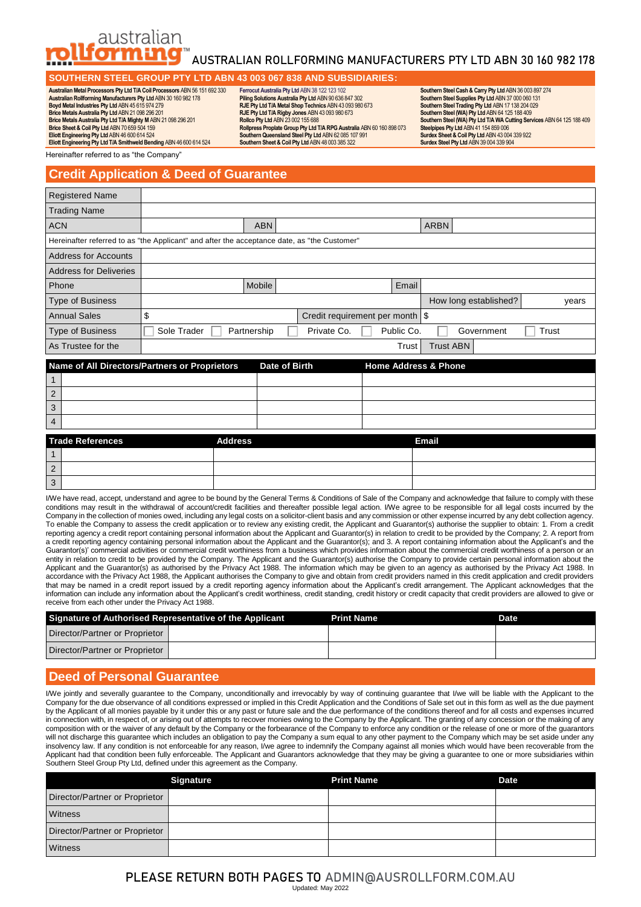

# AUSTRALIAN ROLLFORMING MANUFACTURERS PTY LTD ABN 30 160 982 178

### **SOUTHERN STEEL GROUP PTY LTD ABN 43 003 067 838 AND SUBSIDIARIES:**

**Australian Metal Processors Pty Ltd T/A Coil Processors** ABN 56 151 692 330 **Australian Rollforming Manufacturers Pty Ltd** ABN 30 160 982 178 **Boyd Metal Industries Pty Ltd** ABN 45 615 974 279 **Brice Metals Australia Pty Ltd** ABN 21 098 296 201 **Brice Metals Australia Pty Ltd T/A Mighty M** ABN 21 098 296 201 **Brice Sheet & Coil Pty Ltd** ABN 70 659 504 159 **Eliott Engineering Pty Ltd** ABN 46 600 614 524 **Eliott Engineering Pty Ltd T/A Smithweld Bending** ABN 46 600 614 524

**Ferrocut Australia Pty Ltd** ABN 38 122 123 102 **Piling Solutions Australia Pty Ltd** ABN 90 636 847 302 **RJE Pty Ltd T/A Metal Shop Technics** ABN 43 093 980 673 **RJE Pty Ltd T/A Rigby Jones** ABN 43 093 980 673 **Rollco Pty Ltd** ABN 23 002 155 688 **Rollpress Proplate Group Pty Ltd T/A RPG Australia** ABN 60 160 898 073<br>**Southern Queensland Steel Pty Ltd** ABN 62 085 107 991<br>**Southern Sheet & Coil Pty Ltd** ABN 48 003 385 322

**Southern Steel Cash & Carry Pty Ltd** ABN 36 003 897 274 **Southern Steel Supplies Pty Ltd** ABN 37 000 060 131 **Southern Steel Trading Pty Ltd** ABN 17 138 204 029 **Southern Steel (WA) Pty Ltd** ABN 64 125 188 409 **Southern Steel (WA) Pty Ltd T/A WA Cutting Services** ABN 64 125 188 409 **Steelpipes Pty Ltd** ABN 41 154 859 006 **Surdex Sheet & Coil Pty Ltd** ABN 43 004 339 922 **Surdex Steel Pty Ltd** ABN 39 004 339 904

Hereinafter referred to as "the Company"

## **Credit Application & Deed of Guarantee**

| <b>Registered Name</b>        |                                                                                             |             |               |                                     |            |                                 |            |       |       |
|-------------------------------|---------------------------------------------------------------------------------------------|-------------|---------------|-------------------------------------|------------|---------------------------------|------------|-------|-------|
| <b>Trading Name</b>           |                                                                                             |             |               |                                     |            |                                 |            |       |       |
| <b>ACN</b>                    |                                                                                             | <b>ABN</b>  |               |                                     |            | <b>ARBN</b>                     |            |       |       |
|                               | Hereinafter referred to as "the Applicant" and after the acceptance date, as "the Customer" |             |               |                                     |            |                                 |            |       |       |
| <b>Address for Accounts</b>   |                                                                                             |             |               |                                     |            |                                 |            |       |       |
| <b>Address for Deliveries</b> |                                                                                             |             |               |                                     |            |                                 |            |       |       |
| Phone                         |                                                                                             | Mobile      |               |                                     | Email      |                                 |            |       |       |
| <b>Type of Business</b>       |                                                                                             |             |               |                                     |            | How long established?           |            |       | years |
| <b>Annual Sales</b>           | \$                                                                                          |             |               | Credit requirement per month \ \ \$ |            |                                 |            |       |       |
| <b>Type of Business</b>       | Sole Trader                                                                                 | Partnership |               | Private Co.                         | Public Co. |                                 | Government | Trust |       |
| As Trustee for the            |                                                                                             |             |               |                                     | Trust      | <b>Trust ABN</b>                |            |       |       |
|                               | Name of All Directors/Partners or Proprietors                                               |             | Date of Birth |                                     |            | <b>Home Address &amp; Phone</b> |            |       |       |
| 1                             |                                                                                             |             |               |                                     |            |                                 |            |       |       |
| 2                             |                                                                                             |             |               |                                     |            |                                 |            |       |       |
| 3                             |                                                                                             |             |               |                                     |            |                                 |            |       |       |
| 4                             |                                                                                             |             |               |                                     |            |                                 |            |       |       |
| <b>Trado Poforoncos</b>       | <b>Addroce</b>                                                                              |             |               |                                     |            | Email                           |            |       |       |

| <b>Trade References</b> | <b>Address</b> | <b>Email</b> |
|-------------------------|----------------|--------------|
|                         |                |              |
| $\overline{2}$          |                |              |
| 3                       |                |              |
|                         |                |              |

I/We have read, accept, understand and agree to be bound by the General Terms & Conditions of Sale of the Company and acknowledge that failure to comply with these conditions may result in the withdrawal of account/credit facilities and thereafter possible legal action. I/We agree to be responsible for all legal costs incurred by the Company in the collection of monies owed, including any legal costs on a solicitor-client basis and any commission or other expense incurred by any debt collection agency. To enable the Company to assess the credit application or to review any existing credit, the Applicant and Guarantor(s) authorise the supplier to obtain: 1. From a credit reporting agency a credit report containing personal information about the Applicant and Guarantor(s) in relation to credit to be provided by the Company; 2. A report from a credit reporting agency containing personal information about the Applicant and the Guarantor(s); and 3. A report containing information about the Applicant's and the Guarantor(s)' commercial activities or commercial credit worthiness from a business which provides information about the commercial credit worthiness of a person or an entity in relation to credit to be provided by the Company. The Applicant and the Guarantor(s) authorise the Company to provide certain personal information about the Applicant and the Guarantor(s) as authorised by the Privacy Act 1988. The information which may be given to an agency as authorised by the Privacy Act 1988. In accordance with the Privacy Act 1988, the Applicant authorises the Company to give and obtain from credit providers named in this credit application and credit providers that may be named in a credit report issued by a credit reporting agency information about the Applicant's credit arrangement. The Applicant acknowledges that the information can include any information about the Applicant's credit worthiness, credit standing, credit history or credit capacity that credit providers are allowed to give or receive from each other under the Privacy Act 1988.

| Signature of Authorised Representative of the Applicant | <b>Print Name</b> | <b>Date</b> |
|---------------------------------------------------------|-------------------|-------------|
| Director/Partner or Proprietor                          |                   |             |
| Director/Partner or Proprietor                          |                   |             |

## **Deed of Personal Guarantee**

I/We jointly and severally guarantee to the Company, unconditionally and irrevocably by way of continuing guarantee that I/we will be liable with the Applicant to the Company for the due observance of all conditions expressed or implied in this Credit Application and the Conditions of Sale set out in this form as well as the due payment by the Applicant of all monies payable by it under this or any past or future sale and the due performance of the conditions thereof and for all costs and expenses incurred in connection with, in respect of, or arising out of attempts to recover monies owing to the Company by the Applicant. The granting of any concession or the making of any composition with or the waiver of any default by the Company or the forbearance of the Company to enforce any condition or the release of one or more of the guarantors will not discharge this guarantee which includes an obligation to pay the Company a sum equal to any other payment to the Company which may be set aside under any insolvency law. If any condition is not enforceable for any reason, I/we agree to indemnify the Company against all monies which would have been recoverable from the Applicant had that condition been fully enforceable. The Applicant and Guarantors acknowledge that they may be giving a guarantee to one or more subsidiaries within Southern Steel Group Pty Ltd, defined under this agreement as the Company.

|                                | <b>Signature</b> | <b>Print Name</b> | <b>Date</b> |
|--------------------------------|------------------|-------------------|-------------|
| Director/Partner or Proprietor |                  |                   |             |
| <b>Witness</b>                 |                  |                   |             |
| Director/Partner or Proprietor |                  |                   |             |
| <b>Witness</b>                 |                  |                   |             |